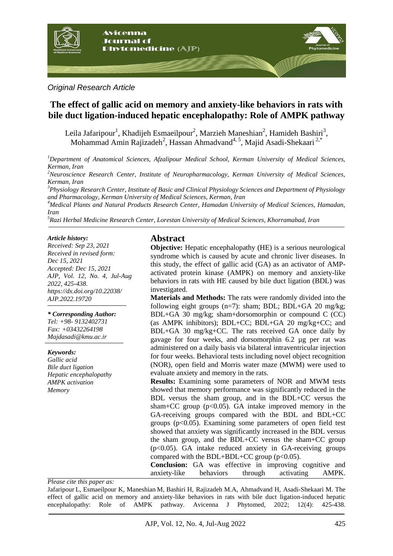

#### *Original Research Article*

# **The effect of gallic acid on memory and anxiety-like behaviors in rats with bile duct ligation-induced hepatic encephalopathy: Role of AMPK pathway**

Leila Jafaripour<sup>1</sup>, Khadijeh Esmaeilpour<sup>2</sup>, Marzieh Maneshian<sup>2</sup>, Hamideh Bashiri<sup>3</sup>, Mohammad Amin Rajizadeh<sup>2</sup>, Hassan Ahmadvand<sup>4, 5</sup>, Majid Asadi-Shekaari<sup>2,\*</sup>

*<sup>1</sup>Department of Anatomical Sciences, Afzalipour Medical School, Kerman University of Medical Sciences, Kerman, Iran*

*<sup>2</sup>Neuroscience Research Center, Institute of Neuropharmacology, Kerman University of Medical Sciences, Kerman, Iran*

*<sup>3</sup>Physiology Research Center, Institute of Basic and Clinical Physiology Sciences and Department of Physiology and Pharmacology, Kerman University of Medical Sciences, Kerman, Iran*

*<sup>4</sup>Medical Plants and Natural Products Research Center, Hamadan University of Medical Sciences, Hamadan, Iran* 

*<sup>5</sup>Razi Herbal Medicine Research Center, Lorestan University of Medical Sciences, Khorramabad, Iran*

#### *Article history:*

*Received: Sep 23, 2021 Received in revised form: Dec 15, 2021 Accepted: Dec 15, 2021 AJP, Vol. 12, No. 4, Jul-Aug 2022, 425-438. https://dx.doi.org/10.22038/ AJP.2022.19720*

*\* Corresponding Author: Tel: +98- 9132402731*

*Fax: +03432264198 Majdasadi@kmu.ac.ir*

*Keywords: Gallic acid Bile duct ligation*

*Hepatic encephalopathy AMPK activation Memory* 

### **Abstract**

**Objective:** Hepatic encephalopathy (HE) is a serious neurological syndrome which is caused by acute and chronic liver diseases. In this study, the effect of gallic acid (GA) as an activator of AMPactivated protein kinase (AMPK) on memory and anxiety-like behaviors in rats with HE caused by bile duct ligation (BDL) was investigated.

**Materials and Methods:** The rats were randomly divided into the following eight groups  $(n=7)$ : sham; BDL; BDL+GA 20 mg/kg; BDL+GA 30 mg/kg; sham+dorsomorphin or compound C (CC) (as AMPK inhibitors);  $BDL+CC$ ;  $BDL+GA$  20 mg/kg+CC; and BDL+GA 30 mg/kg+CC. The rats received GA once daily by gavage for four weeks, and dorsomorphin 6.2 µg per rat was administered on a daily basis via bilateral intraventricular injection for four weeks. Behavioral tests including novel object recognition (NOR), open field and Morris water maze (MWM) were used to evaluate anxiety and memory in the rats.

**Results:** Examining some parameters of NOR and MWM tests showed that memory performance was significantly reduced in the BDL versus the sham group, and in the BDL+CC versus the sham+ $CC$  group ( $p<0.05$ ). GA intake improved memory in the GA-receiving groups compared with the BDL and BDL+CC groups ( $p<0.05$ ). Examining some parameters of open field test showed that anxiety was significantly increased in the BDL versus the sham group, and the BDL+CC versus the sham+CC group  $(p<0.05)$ . GA intake reduced anxiety in GA-receiving groups compared with the BDL+BDL+CC group ( $p<0.05$ ).

**Conclusion:** GA was effective in improving cognitive and anxiety-like behaviors through activating AMPK.

*Please cite this paper as:* 

Jafaripour L, Esmaeilpour K, Maneshian M, Bashiri H, Rajizadeh M.A, Ahmadvand H, Asadi-Shekaari M. The effect of gallic acid on memory and anxiety-like behaviors in rats with bile duct ligation-induced hepatic encephalopathy: Role of AMPK pathway. Avicenna J Phytomed, 2022; 12(4): 425-438.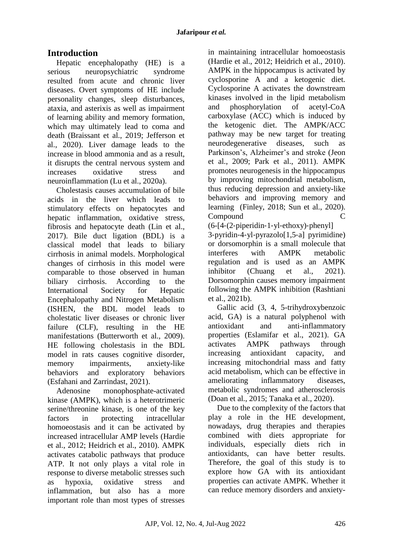# **Introduction**

Hepatic encephalopathy (HE) is a serious neuropsychiatric syndrome resulted from acute and chronic liver diseases. Overt symptoms of HE include personality changes, sleep disturbances, ataxia, and asterixis as well as impairment of learning ability and memory formation, which may ultimately lead to coma and death (Braissant et al., 2019; Jefferson et al., 2020). Liver damage leads to the increase in blood ammonia and as a result, it disrupts the central nervous system and increases oxidative stress and neuroinflammation (Lu et al., 2020a).

Cholestasis causes accumulation of bile acids in the liver which leads to stimulatory effects on hepatocytes and hepatic inflammation, oxidative stress, fibrosis and hepatocyte death (Lin et al., 2017). Bile duct ligation (BDL) is a classical model that leads to biliary cirrhosis in animal models. Morphological changes of cirrhosis in this model were comparable to those observed in human biliary cirrhosis. According to the International Society for Hepatic Encephalopathy and Nitrogen Metabolism (ISHEN, the BDL model leads to cholestatic liver diseases or chronic liver failure (CLF), resulting in the HE manifestations (Butterworth et al., 2009). HE following cholestasis in the BDL model in rats causes cognitive disorder, memory impairments, anxiety-like behaviors and exploratory behaviors (Esfahani and Zarrindast, 2021).

Adenosine monophosphate-activated kinase (AMPK), which is a heterotrimeric serine/threonine kinase, is one of the key factors in protecting intracellular homoeostasis and it can be activated by increased intracellular AMP levels (Hardie et al., 2012; Heidrich et al., 2010). AMPK activates catabolic pathways that produce ATP. It not only plays a vital role in response to diverse metabolic stresses such as hypoxia, oxidative stress and inflammation, but also has a more important role than most types of stresses

in maintaining intracellular homoeostasis (Hardie et al., 2012; Heidrich et al., 2010). AMPK in the hippocampus is activated by cyclosporine A and a ketogenic diet. Cyclosporine A activates the downstream kinases involved in the lipid metabolism and phosphorylation of acetyl-CoA carboxylase (ACC) which is induced by the ketogenic diet. The AMPK/ACC pathway may be new target for treating neurodegenerative diseases, such as Parkinson's, Alzheimer's and stroke (Jeon et al., 2009; Park et al., 2011). AMPK promotes neurogenesis in the hippocampus by improving mitochondrial metabolism, thus reducing depression and anxiety-like behaviors and improving memory and learning (Finley, 2018; Sun et al., 2020). Compound C

(6-[4‑(2‑piperidin‑1‑yl‑ethoxy)‑phenyl] 3‑pyridin‑4‑yl‑pyrazolo[1,5‑a] pyrimidine) or dorsomorphin is a small molecule that interferes with AMPK metabolic regulation and is used as an AMPK inhibitor (Chuang et al., 2021). Dorsomorphin causes memory impairment following the AMPK inhibition (Rashtiani et al., 2021b).

Gallic acid (3, 4, 5-trihydroxybenzoic acid, GA) is a natural polyphenol with antioxidant and anti-inflammatory properties (Eslamifar et al., 2021). GA activates AMPK pathways through increasing antioxidant capacity, and increasing mitochondrial mass and fatty acid metabolism, which can be effective in ameliorating inflammatory diseases, metabolic syndromes and atherosclerosis (Doan et al., 2015; Tanaka et al., 2020).

Due to the complexity of the factors that play a role in the HE development, nowadays, drug therapies and therapies combined with diets appropriate for individuals, especially diets rich in antioxidants, can have better results. Therefore, the goal of this study is to explore how GA with its antioxidant properties can activate AMPK. Whether it can reduce memory disorders and anxiety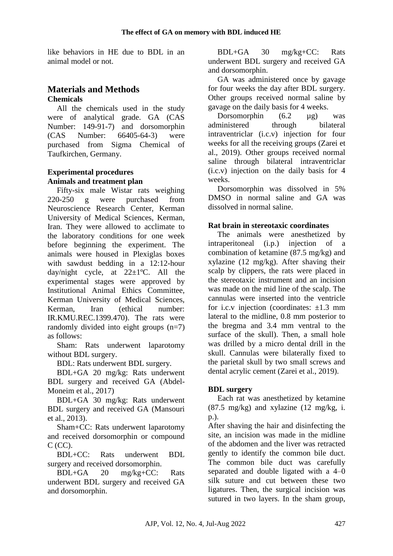like behaviors in HE due to BDL in an animal model or not.

### **Materials and Methods Chemicals**

All the chemicals used in the study were of analytical grade. GA (CAS Number: 149-91-7) and dorsomorphin (CAS Number: 66405-64-3) were purchased from Sigma Chemical of Taufkirchen, Germany.

## **Experimental procedures Animals and treatment plan**

Fifty-six male Wistar rats weighing 220-250 g were purchased from Neuroscience Research Center, Kerman University of Medical Sciences, Kerman, Iran. They were allowed to acclimate to the laboratory conditions for one week before beginning the experiment. The animals were housed in Plexiglas boxes with sawdust bedding in a 12:12-hour day/night cycle, at  $22 \pm 1$ °C. All the experimental stages were approved by Institutional Animal Ethics Committee, Kerman University of Medical Sciences, Kerman, Iran (ethical number: IR.KMU.REC.1399.470). The rats were randomly divided into eight groups (n=7) as follows:

Sham: Rats underwent laparotomy without BDL surgery.

BDL: Rats underwent BDL surgery.

BDL+GA 20 mg/kg: Rats underwent BDL surgery and received GA (Abdel-Moneim et al., 2017)

BDL+GA 30 mg/kg: Rats underwent BDL surgery and received GA (Mansouri et al., 2013).

Sham+CC: Rats underwent laparotomy and received dorsomorphin or compound  $C$  (CC).

BDL+CC: Rats underwent BDL surgery and received dorsomorphin.

BDL+GA 20 mg/kg+CC: Rats underwent BDL surgery and received GA and dorsomorphin.

BDL+GA 30 mg/kg+CC: Rats underwent BDL surgery and received GA and dorsomorphin.

GA was administered once by gavage for four weeks the day after BDL surgery. Other groups received normal saline by gavage on the daily basis for 4 weeks.

Dorsomorphin (6.2 ug) was administered through bilateral intraventriclar (i.c.v) injection for four weeks for all the receiving groups (Zarei et al., 2019). Other groups received normal saline through bilateral intraventriclar (i.c.v) injection on the daily basis for 4 weeks.

Dorsomorphin was dissolved in 5% DMSO in normal saline and GA was dissolved in normal saline.

### **Rat brain in stereotaxic coordinates**

The animals were anesthetized by intraperitoneal (i.p.) injection of a combination of ketamine (87.5 mg/kg) and xylazine (12 mg/kg). After shaving their scalp by clippers, the rats were placed in the stereotaxic instrument and an incision was made on the mid line of the scalp. The cannulas were inserted into the ventricle for i.c.v injection (coordinates:  $\pm 1.3$  mm lateral to the midline, 0.8 mm posterior to the bregma and 3.4 mm ventral to the surface of the skull). Then, a small hole was drilled by a micro dental drill in the skull. Cannulas were bilaterally fixed to the parietal skull by two small screws and dental acrylic cement (Zarei et al., 2019).

## **BDL surgery**

Each rat was anesthetized by ketamine  $(87.5 \text{ mg/kg})$  and xylazine  $(12 \text{ mg/kg}, i.$ p.).

After shaving the hair and disinfecting the site, an incision was made in the midline of the abdomen and the liver was retracted gently to identify the common bile duct. The common bile duct was carefully separated and double ligated with a 4–0 silk suture and cut between these two ligatures. Then, the surgical incision was sutured in two layers. In the sham group,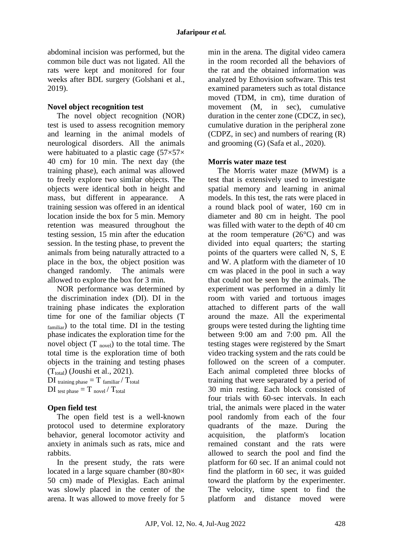abdominal incision was performed, but the common bile duct was not ligated. All the rats were kept and monitored for four weeks after BDL surgery (Golshani et al., 2019).

#### **Novel object recognition test**

The novel object recognition (NOR) test is used to assess recognition memory and learning in the animal models of neurological disorders. All the animals were habituated to a plastic cage (57×57× 40 cm) for 10 min. The next day (the training phase), each animal was allowed to freely explore two similar objects. The objects were identical both in height and mass, but different in appearance. A training session was offered in an identical location inside the box for 5 min. Memory retention was measured throughout the testing session, 15 min after the education session. In the testing phase, to prevent the animals from being naturally attracted to a place in the box, the object position was changed randomly. The animals were allowed to explore the box for 3 min.

NOR performance was determined by the discrimination index (DI). DI in the training phase indicates the exploration time for one of the familiar objects (T familiar) to the total time. DI in the testing phase indicates the exploration time for the novel object  $(T_{\text{novel}})$  to the total time. The total time is the exploration time of both objects in the training and testing phases  $(T<sub>total</sub>)$  (Joushi et al., 2021).

 $DI$  training phase  $=T$  familiar  $/T$  total  $DI$  test phase  $=T$  novel  $/T$  total

### **Open field test**

The open field test is a well-known protocol used to determine exploratory behavior, general locomotor activity and anxiety in animals such as rats, mice and rabbits.

In the present study, the rats were located in a large square chamber (80×80× 50 cm) made of Plexiglas. Each animal was slowly placed in the center of the arena. It was allowed to move freely for 5

min in the arena. The digital video camera in the room recorded all the behaviors of the rat and the obtained information was analyzed by Ethovision software. This test examined parameters such as total distance moved (TDM, in cm), time duration of movement (M, in sec), cumulative duration in the center zone (CDCZ, in sec), cumulative duration in the peripheral zone (CDPZ, in sec) and numbers of rearing (R) and grooming (G) (Safa et al., 2020).

#### **Morris water maze test**

The Morris water maze (MWM) is a test that is extensively used to investigate spatial memory and learning in animal models. In this test, the rats were placed in a round black pool of water, 160 cm in diameter and 80 cm in height. The pool was filled with water to the depth of 40 cm at the room temperature  $(26^{\circ}C)$  and was divided into equal quarters; the starting points of the quarters were called N, S, E and W. A platform with the diameter of 10 cm was placed in the pool in such a way that could not be seen by the animals. The experiment was performed in a dimly lit room with varied and tortuous images attached to different parts of the wall around the maze. All the experimental groups were tested during the lighting time between 9:00 am and 7:00 pm. All the testing stages were registered by the Smart video tracking system and the rats could be followed on the screen of a computer. Each animal completed three blocks of training that were separated by a period of 30 min resting. Each block consisted of four trials with 60-sec intervals. In each trial, the animals were placed in the water pool randomly from each of the four quadrants of the maze. During the acquisition, the platform's location remained constant and the rats were allowed to search the pool and find the platform for 60 sec. If an animal could not find the platform in 60 sec, it was guided toward the platform by the experimenter. The velocity, time spent to find the platform and distance moved were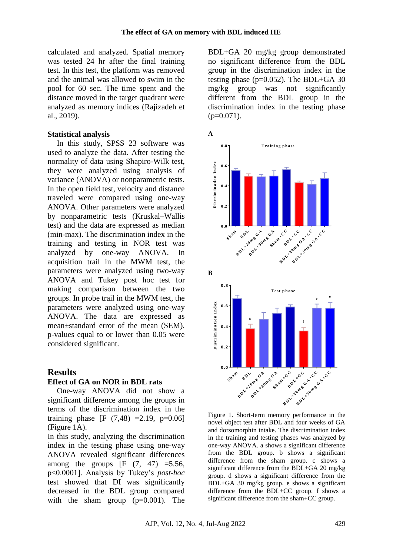calculated and analyzed. Spatial memory was tested 24 hr after the final training test. In this test, the platform was removed and the animal was allowed to swim in the pool for 60 sec. The time spent and the distance moved in the target quadrant were analyzed as memory indices (Rajizadeh et al., 2019).

#### **Statistical analysis**

In this study, SPSS 23 software was used to analyze the data. After testing the normality of data using Shapiro-Wilk test, they were analyzed using analysis of variance (ANOVA) or nonparametric tests. In the open field test, velocity and distance traveled were compared using one-way ANOVA. Other parameters were analyzed by nonparametric tests (Kruskal–Wallis test) and the data are expressed as median (min-max). The discrimination index in the training and testing in NOR test was analyzed by one-way ANOVA. In acquisition trail in the MWM test, the parameters were analyzed using two-way ANOVA and Tukey post hoc test for making comparison between the two groups. In probe trail in the MWM test, the parameters were analyzed using one-way ANOVA. The data are expressed as mean±standard error of the mean (SEM). p-values equal to or lower than 0.05 were considered significant.

### **Results**

#### **Effect of GA on NOR in BDL rats**

One-way ANOVA did not show a significant difference among the groups in terms of the discrimination index in the training phase  $[F (7,48) =2.19, p=0.06]$ (Figure 1A).

In this study, analyzing the discrimination index in the testing phase using one-way ANOVA revealed significant differences among the groups  $[F (7, 47) = 5.56]$ p<0.0001]. Analysis by Tukey's *post-hoc* test showed that DI was significantly decreased in the BDL group compared with the sham group (p=0.001). The

BDL+GA 20 mg/kg group demonstrated no significant difference from the BDL group in the discrimination index in the testing phase ( $p=0.052$ ). The BDL+GA 30 mg/kg group was not significantly different from the BDL group in the discrimination index in the testing phase  $(p=0.071)$ .



Figure 1. Short-term memory performance in the novel object test after BDL and four weeks of GA and dorsomorphin intake. The discrimination index in the training and testing phases was analyzed by one-way ANOVA. a shows a significant difference from the BDL group. b shows a significant difference from the sham group. c shows a significant difference from the BDL+GA 20 mg/kg group. d shows a significant difference from the BDL+GA 30 mg/kg group. e shows a significant difference from the BDL+CC group. f shows a significant difference from the sham+CC group.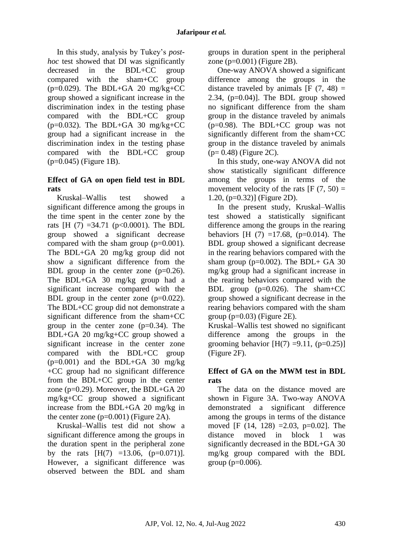In this study, analysis by Tukey's *posthoc* test showed that DI was significantly decreased in the  $BDL+CC$  group compared with the sham+CC group ( $p=0.029$ ). The BDL+GA 20 mg/kg+CC group showed a significant increase in the discrimination index in the testing phase compared with the BDL+CC group ( $p=0.032$ ). The BDL+GA 30 mg/kg+CC group had a significant increase in the discrimination index in the testing phase compared with the BDL+CC group (p=0.045) (Figure 1B).

#### **Effect of GA on open field test in BDL rats**

Kruskal–Wallis test showed a significant difference among the groups in the time spent in the center zone by the rats [H (7) = 34.71 ( $p < 0.0001$ ). The BDL group showed a significant decrease compared with the sham group  $(p=0.001)$ . The BDL+GA 20 mg/kg group did not show a significant difference from the BDL group in the center zone  $(p=0.26)$ . The BDL+GA 30 mg/kg group had a significant increase compared with the BDL group in the center zone (p=0.022). The BDL+CC group did not demonstrate a significant difference from the sham+CC group in the center zone  $(p=0.34)$ . The BDL+GA 20 mg/kg+CC group showed a significant increase in the center zone compared with the BDL+CC group  $(p=0.001)$  and the BDL+GA 30 mg/kg +CC group had no significant difference from the BDL+CC group in the center zone (p=0.29). Moreover, the BDL+GA 20 mg/kg+CC group showed a significant increase from the BDL+GA 20 mg/kg in the center zone  $(p=0.001)$  (Figure 2A).

Kruskal–Wallis test did not show a significant difference among the groups in the duration spent in the peripheral zone by the rats  $[H(7) = 13.06, (p=0.071)].$ However, a significant difference was observed between the BDL and sham groups in duration spent in the peripheral zone (p=0.001) (Figure 2B).

One-way ANOVA showed a significant difference among the groups in the distance traveled by animals  $[F (7, 48) =$ 2.34,  $(p=0.04)$ ]. The BDL group showed no significant difference from the sham group in the distance traveled by animals (p=0.98). The BDL+CC group was not significantly different from the sham+CC group in the distance traveled by animals  $(p= 0.48)$  (Figure 2C).

In this study, one-way ANOVA did not show statistically significant difference among the groups in terms of the movement velocity of the rats  $[F (7, 50) =$ 1.20, (p=0.32)] (Figure 2D).

In the present study, Kruskal–Wallis test showed a statistically significant difference among the groups in the rearing behaviors [H  $(7)$  =17.68, (p=0.014). The BDL group showed a significant decrease in the rearing behaviors compared with the sham group ( $p=0.002$ ). The BDL+ GA 30 mg/kg group had a significant increase in the rearing behaviors compared with the BDL group (p=0.026). The sham+CC group showed a significant decrease in the rearing behaviors compared with the sham group  $(p=0.03)$  (Figure 2E).

Kruskal–Wallis test showed no significant difference among the groups in the grooming behavior  $[H(7) = 9.11, (p=0.25)]$ (Figure 2F).

### **Effect of GA on the MWM test in BDL rats**

The data on the distance moved are shown in Figure 3A. Two-way ANOVA demonstrated a significant difference among the groups in terms of the distance moved  $[F (14, 128) = 2.03, p=0.02]$ . The distance moved in block 1 was significantly decreased in the BDL+GA 30 mg/kg group compared with the BDL group ( $p=0.006$ ).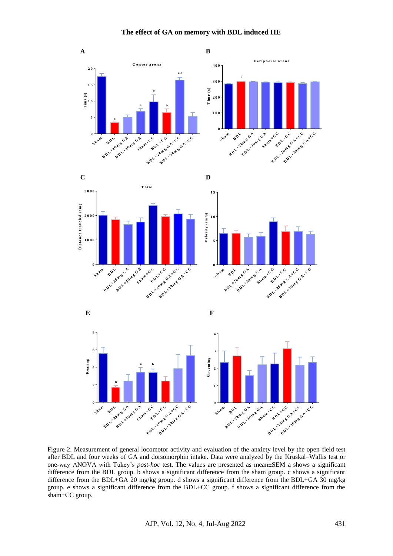

Figure 2. Measurement of general locomotor activity and evaluation of the anxiety level by the open field test after BDL and four weeks of GA and dorsomorphin intake. Data were analyzed by the Kruskal–Wallis test or one-way ANOVA with Tukey's *post-hoc* test. The values are presented as mean±SEM a shows a significant difference from the BDL group. b shows a significant difference from the sham group. c shows a significant difference from the BDL+GA 20 mg/kg group. d shows a significant difference from the BDL+GA 30 mg/kg group. e shows a significant difference from the BDL+CC group. f shows a significant difference from the sham+CC group.

 $\mathbf{P}$ 

 $\phi^*$   $\phi$ 

**B**

**B**

**BB**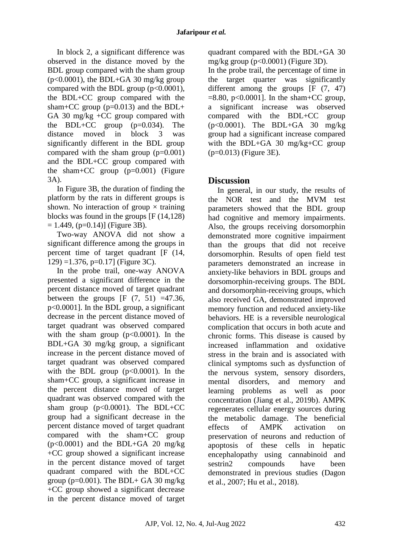In block 2, a significant difference was observed in the distance moved by the BDL group compared with the sham group  $(p<0.0001)$ , the BDL+GA 30 mg/kg group compared with the BDL group  $(p<0.0001)$ , the BDL+CC group compared with the sham+CC group  $(p=0.013)$  and the BDL+ GA 30 mg/kg +CC group compared with the BDL+CC group  $(p=0.034)$ . The distance moved in block 3 was significantly different in the BDL group compared with the sham group  $(p=0.001)$ and the BDL+CC group compared with the sham+ $CC$  group ( $p=0.001$ ) (Figure 3A).

In Figure 3B, the duration of finding the platform by the rats in different groups is shown. No interaction of group  $\times$  training blocks was found in the groups [F (14,128)  $= 1.449$ , (p=0.14)] (Figure 3B).

Two-way ANOVA did not show a significant difference among the groups in percent time of target quadrant [F (14, 129) =1.376, p=0.17] (Figure 3C).

In the probe trail, one-way ANOVA presented a significant difference in the percent distance moved of target quadrant between the groups  $[F (7, 51) = 47.36]$ p<0.0001]. In the BDL group, a significant decrease in the percent distance moved of target quadrant was observed compared with the sham group  $(p<0.0001)$ . In the BDL+GA 30 mg/kg group, a significant increase in the percent distance moved of target quadrant was observed compared with the BDL group  $(p<0.0001)$ . In the sham+CC group, a significant increase in the percent distance moved of target quadrant was observed compared with the sham group  $(p<0.0001)$ . The BDL+CC group had a significant decrease in the percent distance moved of target quadrant compared with the sham+CC group  $(p<0.0001)$  and the BDL+GA 20 mg/kg +CC group showed a significant increase in the percent distance moved of target quadrant compared with the BDL+CC group ( $p=0.001$ ). The BDL+ GA 30 mg/kg +CC group showed a significant decrease in the percent distance moved of target quadrant compared with the BDL+GA 30 mg/kg group  $(p<0.0001)$  (Figure 3D).

In the probe trail, the percentage of time in the target quarter was significantly different among the groups  $[F (7, 47)]$  $=8.80$ , p $< 0.0001$ ]. In the sham+CC group, a significant increase was observed compared with the BDL+CC group (p<0.0001). The BDL+GA 30 mg/kg group had a significant increase compared with the BDL+GA 30 mg/kg+CC group (p=0.013) (Figure 3E).

## **Discussion**

In general, in our study, the results of the NOR test and the MVM test parameters showed that the BDL group had cognitive and memory impairments. Also, the groups receiving dorsomorphin demonstrated more cognitive impairment than the groups that did not receive dorsomorphin. Results of open field test parameters demonstrated an increase in anxiety-like behaviors in BDL groups and dorsomorphin-receiving groups. The BDL and dorsomorphin-receiving groups, which also received GA, demonstrated improved memory function and reduced anxiety-like behaviors. HE is a reversible neurological complication that occurs in both acute and chronic forms. This disease is caused by increased inflammation and oxidative stress in the brain and is associated with clinical symptoms such as dysfunction of the nervous system, sensory disorders, mental disorders, and memory and learning problems as well as poor concentration (Jiang et al., 2019b). AMPK regenerates cellular energy sources during the metabolic damage. The beneficial effects of AMPK activation on preservation of neurons and reduction of apoptosis of these cells in hepatic encephalopathy using cannabinoid and sestrin2 compounds have been demonstrated in previous studies (Dagon et al., 2007; Hu et al., 2018).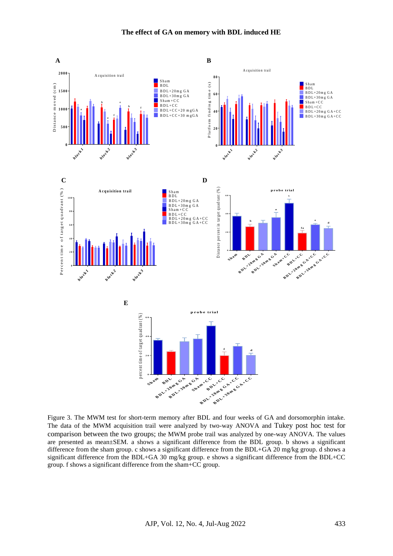**The effect of GA on memory with BDL induced HE**



Figure 3. The MWM test for short-term memory after BDL and four weeks of GA and dorsomorphin intake. The data of the MWM acquisition trail were analyzed by two-way ANOVA and Tukey post hoc test for comparison between the two groups; the MWM probe trail was analyzed by one-way ANOVA. The values are presented as mean±SEM. a shows a significant difference from the BDL group. b shows a significant difference from the sham group. c shows a significant difference from the BDL+GA 20 mg/kg group. d shows a significant difference from the BDL+GA 30 mg/kg group. e shows a significant difference from the BDL+CC group. f shows a significant difference from the sham+CC group.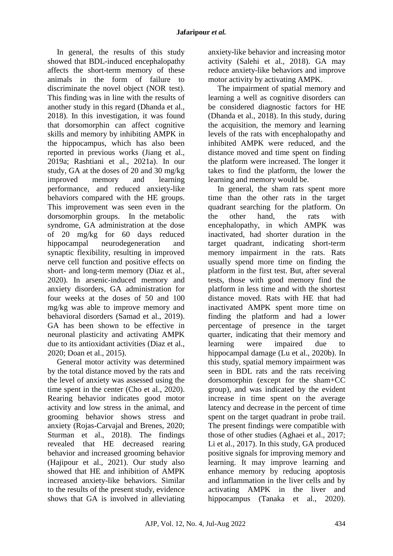In general, the results of this study showed that BDL-induced encephalopathy affects the short-term memory of these animals in the form of failure to discriminate the novel object (NOR test). This finding was in line with the results of another study in this regard (Dhanda et al., 2018). In this investigation, it was found that dorsomorphin can affect cognitive skills and memory by inhibiting AMPK in the hippocampus, which has also been reported in previous works (Jiang et al., 2019a; Rashtiani et al., 2021a). In our study, GA at the doses of 20 and 30 mg/kg improved memory and learning performance, and reduced anxiety-like behaviors compared with the HE groups. This improvement was seen even in the dorsomorphin groups. In the metabolic syndrome, GA administration at the dose of 20 mg/kg for 60 days reduced hippocampal neurodegeneration and synaptic flexibility, resulting in improved nerve cell function and positive effects on short- and long-term memory (Diaz et al., 2020). In arsenic-induced memory and anxiety disorders, GA administration for four weeks at the doses of 50 and 100 mg/kg was able to improve memory and behavioral disorders (Samad et al., 2019). GA has been shown to be effective in neuronal plasticity and activating AMPK due to its antioxidant activities (Diaz et al., 2020; Doan et al., 2015).

General motor activity was determined by the total distance moved by the rats and the level of anxiety was assessed using the time spent in the center (Cho et al., 2020). Rearing behavior indicates good motor activity and low stress in the animal, and grooming behavior shows stress and anxiety (Rojas-Carvajal and Brenes, 2020; Sturman et al., 2018). The findings revealed that HE decreased rearing behavior and increased grooming behavior (Hajipour et al., 2021). Our study also showed that HE and inhibition of AMPK increased anxiety-like behaviors. Similar to the results of the present study, evidence shows that GA is involved in alleviating anxiety-like behavior and increasing motor activity (Salehi et al., 2018). GA may reduce anxiety-like behaviors and improve motor activity by activating AMPK.

The impairment of spatial memory and learning a well as cognitive disorders can be considered diagnostic factors for HE (Dhanda et al., 2018). In this study, during the acquisition, the memory and learning levels of the rats with encephalopathy and inhibited AMPK were reduced, and the distance moved and time spent on finding the platform were increased. The longer it takes to find the platform, the lower the learning and memory would be.

In general, the sham rats spent more time than the other rats in the target quadrant searching for the platform. On the other hand, the rats with encephalopathy, in which AMPK was inactivated, had shorter duration in the target quadrant, indicating short-term memory impairment in the rats. Rats usually spend more time on finding the platform in the first test. But, after several tests, those with good memory find the platform in less time and with the shortest distance moved. Rats with HE that had inactivated AMPK spent more time on finding the platform and had a lower percentage of presence in the target quarter, indicating that their memory and learning were impaired due to hippocampal damage (Lu et al., 2020b). In this study, spatial memory impairment was seen in BDL rats and the rats receiving dorsomorphin (except for the sham+CC group), and was indicated by the evident increase in time spent on the average latency and decrease in the percent of time spent on the target quadrant in probe trail. The present findings were compatible with those of other studies (Aghaei et al., 2017; Li et al., 2017). In this study, GA produced positive signals for improving memory and learning. It may improve learning and enhance memory by reducing apoptosis and inflammation in the liver cells and by activating AMPK in the liver and hippocampus (Tanaka et al., 2020).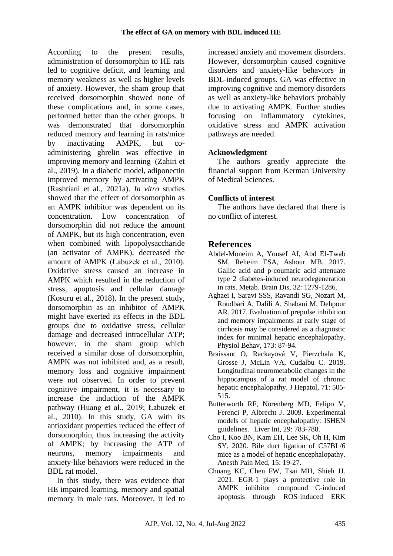According to the present results, administration of dorsomorphin to HE rats led to cognitive deficit, and learning and memory weakness as well as higher levels of anxiety. However, the sham group that received dorsomorphin showed none of these complications and, in some cases, performed better than the other groups. It was demonstrated that dorsomorphin reduced memory and learning in rats/mice by inactivating AMPK, but coadministering ghrelin was effective in improving memory and learning (Zahiri et al., 2019). In a diabetic model, adiponectin improved memory by activating AMPK (Rashtiani et al., 2021a). *In vitro* studies showed that the effect of dorsomorphin as an AMPK inhibitor was dependent on its concentration. Low concentration of dorsomorphin did not reduce the amount of AMPK, but its high concentration, even when combined with lipopolysaccharide (an activator of AMPK), decreased the amount of AMPK (Łabuzek et al., 2010). Oxidative stress caused an increase in AMPK which resulted in the reduction of stress, apoptosis and cellular damage (Kosuru et al., 2018). In the present study, dorsomorphin as an inhibitor of AMPK might have exerted its effects in the BDL groups due to oxidative stress, cellular damage and decreased intracellular ATP; however, in the sham group which received a similar dose of dorsomorphin, AMPK was not inhibited and, as a result, memory loss and cognitive impairment were not observed. In order to prevent cognitive impairment, it is necessary to increase the induction of the AMPK pathway (Huang et al., 2019; Łabuzek et al., 2010). In this study, GA with its antioxidant properties reduced the effect of dorsomorphin, thus increasing the activity of AMPK; by increasing the ATP of neurons, memory impairments and anxiety-like behaviors were reduced in the BDL rat model.

In this study, there was evidence that HE impaired learning, memory and spatial memory in male rats. Moreover, it led to increased anxiety and movement disorders. However, dorsomorphin caused cognitive disorders and anxiety-like behaviors in BDL-induced groups. GA was effective in improving cognitive and memory disorders as well as anxiety-like behaviors probably due to activating AMPK. Further studies focusing on inflammatory cytokines, oxidative stress and AMPK activation pathways are needed.

#### **Acknowledgment**

The authors greatly appreciate the financial support from Kerman University of Medical Sciences.

#### **Conflicts of interest**

The authors have declared that there is no conflict of interest.

### **References**

- Abdel-Moneim A, Yousef AI, Abd El-Twab SM, Reheim ESA, Ashour MB. 2017. Gallic acid and p-coumaric acid attenuate type 2 diabetes-induced neurodegeneration in rats. Metab. Brain Dis, 32: 1279-1286.
- Aghaei I, Saravi SSS, Ravandi SG, [Nozari](https://www.sciencedirect.com/science/article/abs/pii/S0031938417300252#!) M, [Roudbari](https://www.sciencedirect.com/science/article/abs/pii/S0031938417300252#!) A, [Dalili](https://www.sciencedirect.com/science/article/abs/pii/S0031938417300252#!) A, Shabani M, [Dehpour](https://www.sciencedirect.com/science/article/abs/pii/S0031938417300252#!) AR. 2017. Evaluation of prepulse inhibition and memory impairments at early stage of cirrhosis may be considered as a diagnostic index for minimal hepatic encephalopathy. Physiol Behav, 173: 87-94.
- Braissant O, Rackayová V, Pierzchala K, Grosse J, McLin VA, Cudalbu C. 2019. Longitudinal neurometabolic changes in the hippocampus of a rat model of chronic hepatic encephalopathy. J Hepatol, 71: 505-515.
- Butterworth RF, Norenberg MD, Felipo V, [Ferenci](https://onlinelibrary.wiley.com/action/doSearch?ContribAuthorRaw=Ferenci%2C+Peter) P, [Albrecht](https://onlinelibrary.wiley.com/action/doSearch?ContribAuthorRaw=Albrecht%2C+Jan) J. 2009. Experimental models of hepatic encephalopathy: ISHEN guidelines. Liver Int, 29: 783-788.
- Cho I, Koo BN, Kam EH, Lee SK, Oh H, Kim SY. 2020. Bile duct ligation of C57BL/6 mice as a model of hepatic encephalopathy. Anesth Pain Med, 15: 19-27.
- Chuang KC, Chen FW, Tsai MH, Shieh JJ. 2021. EGR-1 plays a protective role in AMPK inhibitor compound C‑induced apoptosis through ROS‑induced ERK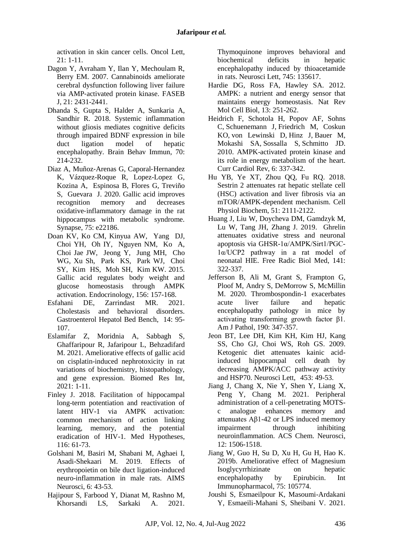activation in skin cancer cells. Oncol Lett, 21: 1-11.

- Dagon Y, Avraham Y, Ilan Y, Mechoulam R, Berry EM. 2007. Cannabinoids ameliorate cerebral dysfunction following liver failure via AMP‑activated protein kinase. FASEB J, 21: 2431-2441.
- Dhanda S, Gupta S, Halder A, Sunkaria A, Sandhir R. 2018. Systemic inflammation without gliosis mediates cognitive deficits through impaired BDNF expression in bile duct ligation model of hepatic encephalopathy. Brain Behav Immun, 70: 214-232.
- Diaz A, Muñoz‑Arenas G, Caporal‑Hernandez K, [Vázquez-Roque](https://onlinelibrary.wiley.com/action/doSearch?ContribAuthorRaw=V%C3%A1zquez-Roque%2C+Rub%C3%A9n) R, [Lopez-Lopez](https://onlinelibrary.wiley.com/action/doSearch?ContribAuthorRaw=Lopez-Lopez%2C+Gustavo) G, [Kozina](https://onlinelibrary.wiley.com/action/doSearch?ContribAuthorRaw=Kozina%2C+Anna) A, [Espinosa](https://onlinelibrary.wiley.com/action/doSearch?ContribAuthorRaw=Espinosa%2C+Blanca) B, [Flores](https://onlinelibrary.wiley.com/action/doSearch?ContribAuthorRaw=Flores%2C+Gonzalo) G, [Treviño](https://onlinelibrary.wiley.com/action/doSearch?ContribAuthorRaw=Trevi%C3%B1o%2C+Samuel) S, [Guevara](https://onlinelibrary.wiley.com/action/doSearch?ContribAuthorRaw=Guevara%2C+Jorge) J. 2020. Gallic acid improves recognition memory and decreases oxidative‑inflammatory damage in the rat hippocampus with metabolic syndrome. Synapse, 75: e22186.
- Doan KV, Ko CM, Kinyua AW, [Yang D](javascript:;)J, [Choi](javascript:;) YH, [Oh](javascript:;) IY, [Nguyen](javascript:;) NM, [Ko A](javascript:;), Choi [Jae J](javascript:;)W, [Jeong](javascript:;) Y, [Jung](javascript:;) MH, [Cho](javascript:;)  WG, Xu Sh, [Park K](javascript:;)S, [Park](javascript:;) WJ, [Choi](javascript:;)  SY, [Kim H](javascript:;)S, [Moh](javascript:;) SH, [Kim](javascript:;) KW. 2015. Gallic acid regulates body weight and glucose homeostasis through AMPK activation. Endocrinology, 156: 157-168.
- Esfahani DE, Zarrindast MR. 2021. Cholestasis and behavioral disorders. Gastroenterol Hepatol Bed Bench, 14: 95- 107.
- Eslamifar Z, Moridnia A, Sabbagh S, Ghaffaripour R, Jafaripour L, Behzadifard M. 2021. Ameliorative effects of gallic acid on cisplatin-induced nephrotoxicity in rat variations of biochemistry, histopathology, and gene expression. Biomed Res Int, 2021: 1-11.
- Finley J. 2018. Facilitation of hippocampal long-term potentiation and reactivation of latent HIV-1 via AMPK activation: common mechanism of action linking learning, memory, and the potential eradication of HIV-1. Med Hypotheses, 116: 61-73.
- Golshani M, Basiri M, Shabani M, Aghaei I, Asadi-Shekaari M. 2019. Effects of erythropoietin on bile duct ligation-induced neuro-inflammation in male rats. AIMS Neurosci, 6: 43-53.
- Hajipour S, Farbood Y, Dianat M, Rashno M, Khorsandi LS, Sarkaki A. 2021.

Thymoquinone improves behavioral and biochemical deficits in hepatic encephalopathy induced by thioacetamide in rats. Neurosci Lett, 745: 135617.

- Hardie DG, Ross FA, Hawley SA. 2012. AMPK: a nutrient and energy sensor that maintains energy homeostasis. Nat Rev Mol Cell Biol, 13: 251-262.
- Heidrich F, Schotola H, Popov AF, [Sohns](https://www.ingentaconnect.com/search;jsessionid=5hq9aao7k3mva.x-ic-live-03?option2=author&value2=Sohns,+Christian) [C,](https://www.ingentaconnect.com/search;jsessionid=5hq9aao7k3mva.x-ic-live-03?option2=author&value2=Sohns,+Christian) [Schuenemann](https://www.ingentaconnect.com/search;jsessionid=5hq9aao7k3mva.x-ic-live-03?option2=author&value2=Schuenemann,+Julia) J, [Friedrich](https://www.ingentaconnect.com/search;jsessionid=5hq9aao7k3mva.x-ic-live-03?option2=author&value2=Friedrich,+Martin) M, [Coskun](https://www.ingentaconnect.com/search;jsessionid=5hq9aao7k3mva.x-ic-live-03?option2=author&value2=Friedrich,+Martin)  KO, [von Lewinski D,](https://www.ingentaconnect.com/search;jsessionid=5hq9aao7k3mva.x-ic-live-03?option2=author&value2=von+Lewinski,+Dirk) [Hinz J,](https://www.ingentaconnect.com/search;jsessionid=5hq9aao7k3mva.x-ic-live-03?option2=author&value2=Hinz,+Jose) [Bauer M,](https://www.ingentaconnect.com/search;jsessionid=5hq9aao7k3mva.x-ic-live-03?option2=author&value2=Bauer,+Martin) [Mokashi SA](https://www.ingentaconnect.com/search;jsessionid=5hq9aao7k3mva.x-ic-live-03?option2=author&value2=A.+Mokashi,+Suyog), [Sossalla](https://www.ingentaconnect.com/search;jsessionid=5hq9aao7k3mva.x-ic-live-03?option2=author&value2=Sossalla,+Samuel) S, [Schmitto JD](https://www.ingentaconnect.com/search;jsessionid=5hq9aao7k3mva.x-ic-live-03?option2=author&value2=D.+Schmitto,+Jan). 2010. AMPK-activated protein kinase and its role in energy metabolism of the heart. Curr Cardiol Rev, 6: 337-342.
- Hu YB, Ye XT, Zhou QQ, Fu RQ. 2018. Sestrin 2 attenuates rat hepatic stellate cell (HSC) activation and liver fibrosis via an mTOR/AMPK-dependent mechanism. Cell Physiol Biochem, 51: 2111-2122.
- Huang J, Liu W, Doycheva DM, [Gamdzyk](https://www.sciencedirect.com/science/article/pii/S0891584919305040?casa_token=58pYH2pwSlkAAAAA:zxUqNYWXngKw94LkLM66icamWvCPSnp8kmEUjDj2DitTJTTZGgtpLTcw5a9IAI7DmJlYX3p-lt8#!) M, [Lu](https://www.sciencedirect.com/science/article/pii/S0891584919305040?casa_token=58pYH2pwSlkAAAAA:zxUqNYWXngKw94LkLM66icamWvCPSnp8kmEUjDj2DitTJTTZGgtpLTcw5a9IAI7DmJlYX3p-lt8#!) W, [Tang](https://www.sciencedirect.com/author/7404637888/jiping-tang) JH, Zhang J. 2019. Ghrelin attenuates oxidative stress and neuronal apoptosis via GHSR-1α/AMPK/Sirt1/PGC-1α/UCP2 pathway in a rat model of neonatal HIE. Free Radic Biol Med, 141: 322-337.
- Jefferson B, Ali M, Grant S, [Frampton](https://www.sciencedirect.com/science/article/pii/S0002944019308004#!) G, [Ploof](https://www.sciencedirect.com/science/article/pii/S0002944019308004#!) M, [Andry](https://www.sciencedirect.com/science/article/pii/S0002944019308004#!) S, [DeMorrow](https://www.sciencedirect.com/science/article/pii/S0002944019308004#!) S, [McMillin](https://www.sciencedirect.com/science/article/pii/S0002944019308004#!) M. 2020. Thrombospondin-1 exacerbates acute liver failure and hepatic encephalopathy pathology in mice by activating transforming growth factor β1. Am J Pathol, 190: 347-357.
- Jeon BT, Lee DH, Kim KH, [Kim](https://www.sciencedirect.com/science/article/pii/S0304394009001384?casa_token=ZNcRO_gBYgAAAAAA:U4wvbIVzVKx6wkGtaRZYirhwgEsRrVyIEc_7t0kPvgCO_NOriGvoBx5oBq_rW_By-Lr8ATlf9sA#!) HJ, [Kang](https://www.sciencedirect.com/science/article/pii/S0304394009001384?casa_token=ZNcRO_gBYgAAAAAA:U4wvbIVzVKx6wkGtaRZYirhwgEsRrVyIEc_7t0kPvgCO_NOriGvoBx5oBq_rW_By-Lr8ATlf9sA#!) SS, [Cho](https://www.sciencedirect.com/science/article/pii/S0304394009001384?casa_token=ZNcRO_gBYgAAAAAA:U4wvbIVzVKx6wkGtaRZYirhwgEsRrVyIEc_7t0kPvgCO_NOriGvoBx5oBq_rW_By-Lr8ATlf9sA#!) GJ, [Choi](https://www.sciencedirect.com/science/article/pii/S0304394009001384?casa_token=ZNcRO_gBYgAAAAAA:U4wvbIVzVKx6wkGtaRZYirhwgEsRrVyIEc_7t0kPvgCO_NOriGvoBx5oBq_rW_By-Lr8ATlf9sA#!) WS, [Roh](https://www.sciencedirect.com/science/article/pii/S0304394009001384?casa_token=ZNcRO_gBYgAAAAAA:U4wvbIVzVKx6wkGtaRZYirhwgEsRrVyIEc_7t0kPvgCO_NOriGvoBx5oBq_rW_By-Lr8ATlf9sA#!) GS. 2009. Ketogenic diet attenuates kainic acidinduced hippocampal cell death by decreasing AMPK/ACC pathway activity and HSP70. Neurosci Lett, 453: 49-53.
- Jiang J, Chang X, Nie Y, Shen Y, Liang X, Peng Y, Chang M. 2021. Peripheral administration of a cell-penetrating MOTSc analogue enhances memory and attenuates Aβ1-42 or LPS induced memory impairment through inhibiting neuroinflammation. ACS Chem. Neurosci, 12: 1506-1518.
- Jiang W, Guo H, Su D, Xu H, Gu H, Hao K. 2019b. Ameliorative effect of Magnesium Isoglycyrrhizinate on hepatic encephalopathy by Epirubicin. Int Immunopharmacol, 75: 105774.
- Joushi S, Esmaeilpour K, Masoumi-Ardakani Y, Esmaeili-Mahani S, Sheibani V. 2021.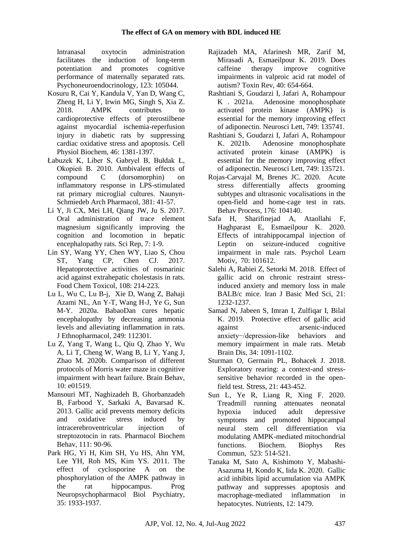Intranasal oxytocin administration facilitates the induction of long-term potentiation and promotes cognitive performance of maternally separated rats. Psychoneuroendocrinology, 123: 105044.

- Kosuru R, Cai Y, Kandula V, Yan D, Wang C, Zheng H, Li Y, Irwin MG, Singh S, Xia Z. 2018. AMPK contributes to cardioprotective effects of pterostilbene against myocardial ischemia-reperfusion injury in diabetic rats by suppressing cardiac oxidative stress and apoptosis. Cell Physiol Biochem, 46: 1381-1397.
- Łabuzek K, Liber S, Gabryel B, Bułdak Ł, Okopień B. 2010. Ambivalent effects of compound C (dorsomorphin) on inflammatory response in LPS-stimulated rat primary microglial cultures. Naunyn-Schmiedeb Arch Pharmacol, 381: 41-57.
- Li Y, Ji CX, Mei LH, Qiang JW, Ju S. 2017. Oral administration of trace element magnesium significantly improving the cognition and locomotion in hepatic encephalopathy rats. Sci Rep, 7: 1-9.
- Lin SY, Wang YY, Chen WY, [Liao](https://www.sciencedirect.com/author/7401922855/sulan-liao) S, Chou ST, Yang CP, Chen CJ. 2017. Hepatoprotective activities of rosmarinic acid against extrahepatic cholestasis in rats. Food Chem Toxicol, 108: 214-223.
- Lu L, Wu C, Lu B-j, Xie D, Wang Z, Bahaji Azami NL, An Y-T, Wang H-J, Ye G, Sun M-Y. 2020a. BabaoDan cures hepatic encephalopathy by decreasing ammonia levels and alleviating inflammation in rats. J Ethnopharmacol, 249: 112301.
- Lu Z, Yang T, Wang L, Qiu Q, Zhao Y, Wu A, Li T, Cheng W, Wang B, Li Y, Yang J, Zhao M. 2020b. Comparison of different protocols of Morris water maze in cognitive impairment with heart failure. Brain Behav, 10: e01519.
- Mansouri MT, Naghizadeh B, Ghorbanzadeh B, Farbood Y, Sarkaki A, Bavarsad K. 2013. Gallic acid prevents memory deficits and oxidative stress induced by intracerebroventricular injection of streptozotocin in rats. Pharmacol Biochem Behav, 111: 90-96.
- Park HG, Yi H, Kim SH, Yu HS, Ahn YM, Lee YH, Roh MS, Kim YS. 2011. The effect of cyclosporine A on the phosphorylation of the AMPK pathway in the rat hippocampus. Prog Neuropsychopharmacol Biol Psychiatry, 35: 1933-1937.
- Rajizadeh MA, Afarinesh MR, Zarif M, Mirasadi A, Esmaeilpour K. 2019. Does caffeine therapy improve cognitive impairments in valproic acid rat model of autism? Toxin Rev, 40: 654-664.
- Rashtiani S, Goudarzi I, Jafari A, Rohampour K . 2021a. Adenosine monophosphate activated protein kinase (AMPK) is essential for the memory improving effect of adiponectin. Neurosci Lett, 749: 135741.
- Rashtiani S, Goudarzi I, Jafari A, Rohampour K. 2021b. Adenosine monophosphate activated protein kinase (AMPK) is essential for the memory improving effect of adiponectin. Neurosci Lett, 749: 135721.
- Rojas-Carvajal M, Brenes JC. 2020. Acute stress differentially affects grooming subtypes and ultrasonic vocalisations in the open-field and home-cage test in rats. Behav Process, 176: 104140.
- Safa H, Sharifinejad A, Ataollahi F, Haghparast E, Esmaeilpour K. 2020. Effects of intrahippocampal injection of Leptin on seizure-induced cognitive impairment in male rats. Psychol Learn Motiv, 70: 101612.
- Salehi A, Rabiei Z, Setorki M. 2018. Effect of gallic acid on chronic restraint stressinduced anxiety and memory loss in male BALB/c mice. Iran J Basic Med Sci, 21: 1232-1237.
- Samad N, Jabeen S, Imran I, Zulfiqar I, Bilal K. 2019. Protective effect of gallic acid against arsenic-induced anxiety−/depression-like behaviors and memory impairment in male rats. Metab Brain Dis, 34: 1091-1102.
- Sturman O, Germain PL, Bohacek J. 2018. Exploratory rearing: a context-and stresssensitive behavior recorded in the openfield test. Stress, 21: 443-452.
- Sun L, Ye R, Liang R, Xing F. 2020. Treadmill running attenuates neonatal hypoxia induced adult depressive symptoms and promoted hippocampal neural stem cell differentiation via modulating AMPK-mediated mitochondrial functions. Biochem. Biophys Res Commun, 523: 514-521.
- Tanaka M, Sato A, Kishimoto Y, Mabashi-Asazuma H, Kondo K, Iida K. 2020. Gallic acid inhibits lipid accumulation via AMPK pathway and suppresses apoptosis and macrophage-mediated inflammation in hepatocytes. Nutrients, 12: 1479.